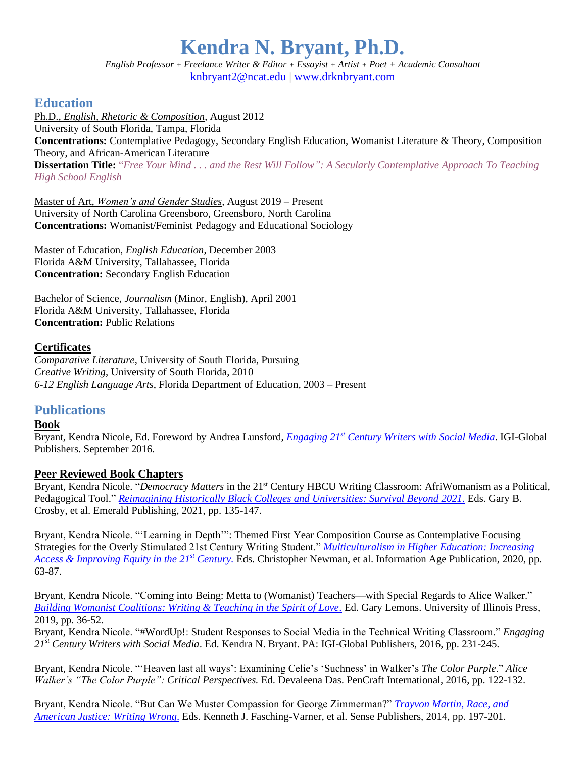# **Kendra N. Bryant, Ph.D.**

*English Professor + Freelance Writer & Editor + Essayist + Artist + Poet + Academic Consultant* [knbryant2@ncat.edu](mailto:knbryant2@ncat.edu) | [www.drknbryant.com](http://www.drknbryant.com/)

# **Education**

Ph.D., *English, Rhetoric & Composition*, August 2012 University of South Florida, Tampa, Florida **Concentrations:** Contemplative Pedagogy, Secondary English Education, Womanist Literature & Theory, Composition Theory, and African-American Literature **Dissertation Title:** "*Free Your Mind [. . . and the Rest Will Follow": A Secularly Contemplative Approach To Teaching](https://digitalcommons.usf.edu/cgi/viewcontent.cgi?article=5192&context=etd)  [High School English](https://digitalcommons.usf.edu/cgi/viewcontent.cgi?article=5192&context=etd)*

Master of Art, *Women's and Gender Studies,* August 2019 – Present University of North Carolina Greensboro, Greensboro, North Carolina **Concentrations:** Womanist/Feminist Pedagogy and Educational Sociology

Master of Education, *English Education*, December 2003 Florida A&M University, Tallahassee, Florida **Concentration:** Secondary English Education

Bachelor of Science, *Journalism* (Minor, English), April 2001 Florida A&M University, Tallahassee, Florida **Concentration:** Public Relations

## **Certificates**

*Comparative Literature*, University of South Florida, Pursuing *Creative Writing*, University of South Florida, 2010 *6-12 English Language Arts*, Florida Department of Education*,* 2003 – Present

# **Publications**

#### **Book**

Bryant, Kendra Nicole, Ed. Foreword by Andrea Lunsford, *Engaging 21st [Century Writers with Social Media](https://www.igi-global.com/book/engaging-21st-century-writers-social/147124#:~:text=Engaging%2021st%20Century%20Writers%20with%20Social%20Media%20is%20a%20pivotal,composition%20skills%20in%20classroom%20settings.)*. IGI-Global Publishers. September 2016.

#### **Peer Reviewed Book Chapters**

Bryant, Kendra Nicole. "*Democracy Matters* in the 21<sup>st</sup> Century HBCU Writing Classroom: AfriWomanism as a Political, Pedagogical Tool." *[Reimagining Historically Black Colleges and Universities: Survival Beyond](https://www.emerald.com/insight/content/doi/10.1108/978-1-80043-664-020211017/full/html) 2021*. Eds. Gary B. Crosby, et al. Emerald Publishing, 2021, pp. 135-147.

Bryant, Kendra Nicole. "'Learning in Depth'": Themed First Year Composition Course as Contemplative Focusing Strategies for the Overly Stimulated 21st Century Writing Student." *[Multiculturalism in Higher Education: Increasing](https://www.infoagepub.com/products/Multiculturalism-in-Higher-Education)  [Access & Improving Equity in the 21](https://www.infoagepub.com/products/Multiculturalism-in-Higher-Education)st Century.* Eds. Christopher Newman, et al. Information Age Publication, 2020, pp. 63-87.

Bryant, Kendra Nicole. "Coming into Being: Metta to (Womanist) Teachers—with Special Regards to Alice Walker." *[Building Womanist Coalitions: Writing & Teaching in the Spirit of Love](https://www.press.uillinois.edu/books/?id=p084218)*. Ed. Gary Lemons. University of Illinois Press, 2019, pp. 36-52.

Bryant, Kendra Nicole. "#WordUp!: Student Responses to Social Media in the Technical Writing Classroom." *Engaging 21st Century Writers with Social Media*. Ed. Kendra N. Bryant. PA: IGI-Global Publishers, 2016, pp. 231-245.

Bryant, Kendra Nicole. "'Heaven last all ways': Examining Celie's 'Suchness' in Walker's *The Color Purple*." *Alice Walker's "The Color Purple": Critical Perspectives.* Ed. Devaleena Das. PenCraft International, 2016, pp. 122-132.

Bryant, Kendra Nicole. "But Can We Muster Compassion for George Zimmerman?" *[Trayvon Martin, Race, and](https://www.springer.com/gp/book/9789462098428)  [American Justice: Writing Wrong](https://www.springer.com/gp/book/9789462098428)*. Eds. Kenneth J. Fasching-Varner, et al. Sense Publishers, 2014, pp. 197-201.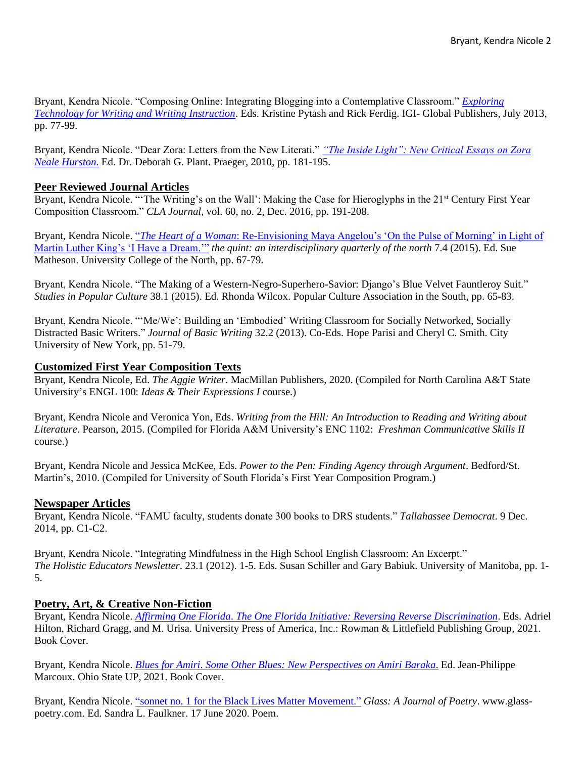Bryant, Kendra Nicole. "Composing Online: Integrating Blogging into a Contemplative Classroom." *[Exploring](https://www.igi-global.com/book/exploring-technology-writing-writing-instruction/75467)  [Technology for Writing and Writing Instruction](https://www.igi-global.com/book/exploring-technology-writing-writing-instruction/75467)*. Eds. Kristine Pytash and Rick Ferdig. IGI- Global Publishers, July 2013, pp. 77-99.

Bryant, Kendra Nicole. "Dear Zora: Letters from the New Literati." *["The Inside Light": New Critical Essays on Zora](https://products.abc-clio.com/abc-cliocorporate/product.aspx?pc=D6819C)  [Neale Hurston](https://products.abc-clio.com/abc-cliocorporate/product.aspx?pc=D6819C)*. Ed. Dr. Deborah G. Plant. Praeger, 2010, pp. 181-195.

#### **Peer Reviewed Journal Articles**

Bryant, Kendra Nicole. "'The Writing's on the Wall': Making the Case for Hieroglyphs in the 21<sup>st</sup> Century First Year Composition Classroom." *CLA Journal,* vol. 60, no. 2, Dec. 2016, pp. 191-208.

Bryant, Kendra Nicole. "*The Heart of a Woman*[: Re-Envisioning Maya Angelou's 'On the Pulse of Morning' in Light of](https://www.ucn.ca/sites/academics/facultyarts/programofferings/arts/humanities/The%20Quint/The%20Quint%20v7.4.pdf)  [Martin Luther King's 'I Have a Dream.'"](https://www.ucn.ca/sites/academics/facultyarts/programofferings/arts/humanities/The%20Quint/The%20Quint%20v7.4.pdf) *the quint: an interdisciplinary quarterly of the north* 7.4 (2015). Ed. Sue Matheson. University College of the North, pp. 67-79.

Bryant, Kendra Nicole. "The Making of a Western-Negro-Superhero-Savior: Django's Blue Velvet Fauntleroy Suit." *Studies in Popular Culture* 38.1 (2015). Ed. Rhonda Wilcox. Popular Culture Association in the South, pp. 65-83.

Bryant, Kendra Nicole. "'Me/We': Building an 'Embodied' Writing Classroom for Socially Networked, Socially Distracted Basic Writers." *Journal of Basic Writing* 32.2 (2013). Co-Eds. Hope Parisi and Cheryl C. Smith. City University of New York, pp. 51-79.

#### **Customized First Year Composition Texts**

Bryant, Kendra Nicole, Ed. *The Aggie Writer*. MacMillan Publishers, 2020. (Compiled for North Carolina A&T State University's ENGL 100: *Ideas & Their Expressions I* course.)

Bryant, Kendra Nicole and Veronica Yon, Eds. *Writing from the Hill: An Introduction to Reading and Writing about Literature*. Pearson, 2015. (Compiled for Florida A&M University's ENC 1102: *Freshman Communicative Skills II* course.)

Bryant, Kendra Nicole and Jessica McKee, Eds. *Power to the Pen: Finding Agency through Argument*. Bedford/St. Martin's, 2010. (Compiled for University of South Florida's First Year Composition Program.)

#### **Newspaper Articles**

Bryant, Kendra Nicole. "FAMU faculty, students donate 300 books to DRS students." *Tallahassee Democrat*. 9 Dec. 2014, pp. C1-C2.

Bryant, Kendra Nicole. "Integrating Mindfulness in the High School English Classroom: An Excerpt." *The Holistic Educators Newsletter*. 23.1 (2012). 1-5. Eds. Susan Schiller and Gary Babiuk. University of Manitoba, pp. 1- 5.

#### **Poetry, Art, & Creative Non-Fiction**

Bryant, Kendra Nicole. *Affirming One Florida*. *[The One Florida Initiative: Reversing Reverse Discrimination](https://rowman.com/ISBN/9780761872764/The-One-Florida-Initiative-Reversing-Reverse-Discrimination)*. Eds. Adriel Hilton, Richard Gragg, and M. Urisa. University Press of America, Inc.: Rowman & Littlefield Publishing Group, 2021. Book Cover.

Bryant, Kendra Nicole. *Blues for Amiri*. *[Some Other Blues: New Perspectives on Amiri Baraka](https://ohiostatepress.org/books/titles/9780814214589.html)*. Ed. Jean-Philippe Marcoux. Ohio State UP, 2021. Book Cover.

Bryant, Kendra Nicole. ["sonnet no. 1 for the Black Lives Matter Movement."](http://www.glass-poetry.com/poets-resist/bryant-sonnet.html) *Glass: A Journal of Poetry*. www.glasspoetry.com. Ed. Sandra L. Faulkner. 17 June 2020. Poem.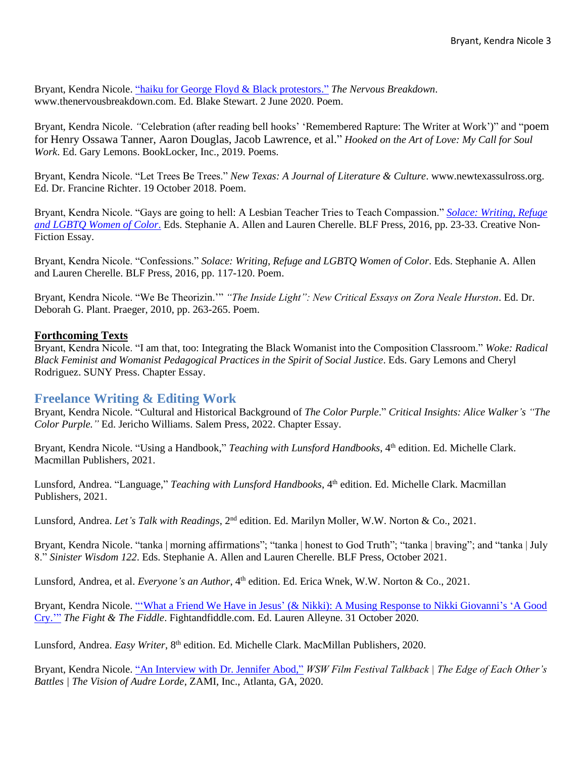Bryant, Kendra Nicole. ["haiku for George Floyd &](https://thenervousbreakdown.com/kbryant/2020/06/haiku-for-george-floyd-black-protestors/) Black protestors." *The Nervous Breakdown*. www.thenervousbreakdown.com. Ed. Blake Stewart. 2 June 2020. Poem.

Bryant, Kendra Nicole. *"*Celebration (after reading bell hooks' 'Remembered Rapture: The Writer at Work')" and "poem for Henry Ossawa Tanner, Aaron Douglas, Jacob Lawrence, et al." *Hooked on the Art of Love: My Call for Soul Work*. Ed. Gary Lemons. BookLocker, Inc., 2019. Poems.

Bryant, Kendra Nicole. "Let Trees Be Trees." *New Texas: A Journal of Literature & Culture*. www.newtexassulross.org. Ed. Dr. Francine Richter. 19 October 2018. Poem.

Bryant, Kendra Nicole. "Gays are going to hell: A Lesbian Teacher Tries to Teach Compassion." *[Solace: Writing, Refuge](https://www.blfpress.com/bookstore/solace-writing-refuge-and-lgbtq-women-of-color)  [and LGBTQ Women of Color](https://www.blfpress.com/bookstore/solace-writing-refuge-and-lgbtq-women-of-color)*. Eds. Stephanie A. Allen and Lauren Cherelle. BLF Press, 2016, pp. 23-33. Creative Non-Fiction Essay.

Bryant, Kendra Nicole. "Confessions." *Solace: Writing, Refuge and LGBTQ Women of Color*. Eds. Stephanie A. Allen and Lauren Cherelle. BLF Press, 2016, pp. 117-120. Poem.

Bryant, Kendra Nicole. "We Be Theorizin.'" *"The Inside Light": New Critical Essays on Zora Neale Hurston*. Ed. Dr. Deborah G. Plant. Praeger, 2010, pp. 263-265. Poem.

#### **Forthcoming Texts**

Bryant, Kendra Nicole. "I am that, too: Integrating the Black Womanist into the Composition Classroom." *Woke: Radical Black Feminist and Womanist Pedagogical Practices in the Spirit of Social Justice*. Eds. Gary Lemons and Cheryl Rodriguez. SUNY Press. Chapter Essay.

# **Freelance Writing & Editing Work**

Bryant, Kendra Nicole. "Cultural and Historical Background of *The Color Purple*." *Critical Insights: Alice Walker's "The Color Purple."* Ed. Jericho Williams. Salem Press, 2022. Chapter Essay.

Bryant, Kendra Nicole. "Using a Handbook," *Teaching with Lunsford Handbooks*, 4<sup>th</sup> edition. Ed. Michelle Clark. Macmillan Publishers, 2021.

Lunsford, Andrea. "Language," *Teaching with Lunsford Handbooks*, 4<sup>th</sup> edition. Ed. Michelle Clark. Macmillan Publishers, 2021.

Lunsford, Andrea. *Let's Talk with Readings*, 2<sup>nd</sup> edition. Ed. Marilyn Moller, W.W. Norton & Co., 2021.

Bryant, Kendra Nicole. "tanka | morning affirmations"; "tanka | honest to God Truth"; "tanka | braving"; and "tanka | July 8." *Sinister Wisdom 122*. Eds. Stephanie A. Allen and Lauren Cherelle. BLF Press, October 2021.

Lunsford, Andrea, et al. *Everyone's an Author*, 4<sup>th</sup> edition. Ed. Erica Wnek, W.W. Norton & Co., 2021.

Bryant, Kendra Nicole. "'What a Friend We Have in Jesus' [\(& Nikki\): A Musing Response to Nikki Giovanni's 'A Good](https://fightandfiddle.com/2020/10/31/what-a-friend-we-have-in-jesus-nikki-a-musing-response-to-nikki-giovannis-a-good-cry/)  [Cry.'"](https://fightandfiddle.com/2020/10/31/what-a-friend-we-have-in-jesus-nikki-a-musing-response-to-nikki-giovannis-a-good-cry/) *The Fight & The Fiddle*. Fightandfiddle.com. Ed. Lauren Alleyne. 31 October 2020.

Lunsford, Andrea. *Easy Writer*, 8<sup>th</sup> edition. Ed. Michelle Clark. MacMillan Publishers, 2020.

Bryant, Kendra Nicole. ["An Interview with Dr. Jennifer Abod,"](https://www.youtube.com/watch?v=hpuBD-eQj6g) *WSW Film Festival Talkback | The Edge of Each Other's Battles | The Vision of Audre Lorde*, ZAMI, Inc., Atlanta, GA, 2020.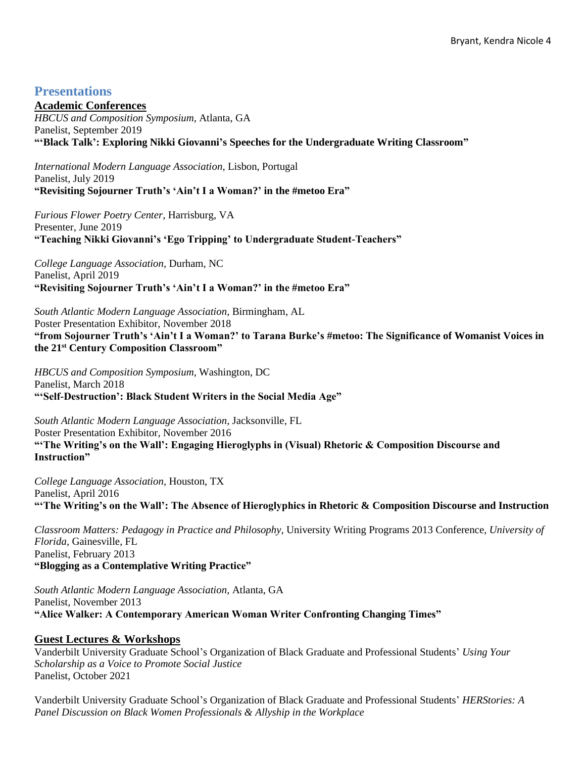# **Presentations**

#### **Academic Conferences**

*HBCUS and Composition Symposium,* Atlanta, GA Panelist, September 2019 **"'Black Talk': Exploring Nikki Giovanni's Speeches for the Undergraduate Writing Classroom"**

*International Modern Language Association,* Lisbon, Portugal Panelist, July 2019 **"Revisiting Sojourner Truth's 'Ain't I a Woman?' in the #metoo Era"** 

*Furious Flower Poetry Center,* Harrisburg, VA Presenter, June 2019 **"Teaching Nikki Giovanni's 'Ego Tripping' to Undergraduate Student-Teachers"**

*College Language Association,* Durham, NC Panelist, April 2019 **"Revisiting Sojourner Truth's 'Ain't I a Woman?' in the #metoo Era"**

*South Atlantic Modern Language Association,* Birmingham, AL Poster Presentation Exhibitor, November 2018 **"from Sojourner Truth's 'Ain't I a Woman?' to Tarana Burke's #metoo: The Significance of Womanist Voices in the 21st Century Composition Classroom"** 

*HBCUS and Composition Symposium,* Washington, DC Panelist, March 2018 **"'Self-Destruction': Black Student Writers in the Social Media Age"** 

*South Atlantic Modern Language Association,* Jacksonville, FL Poster Presentation Exhibitor, November 2016 **"'The Writing's on the Wall': Engaging Hieroglyphs in (Visual) Rhetoric & Composition Discourse and Instruction"**

*College Language Association,* Houston, TX Panelist, April 2016 **"'The Writing's on the Wall': The Absence of Hieroglyphics in Rhetoric & Composition Discourse and Instruction**

*Classroom Matters: Pedagogy in Practice and Philosophy,* University Writing Programs 2013 Conference*, University of Florida,* Gainesville, FL Panelist, February 2013 **"Blogging as a Contemplative Writing Practice"**

*South Atlantic Modern Language Association,* Atlanta, GA Panelist*,* November 2013 **"Alice Walker: A Contemporary American Woman Writer Confronting Changing Times"**

# **Guest Lectures & Workshops**

Vanderbilt University Graduate School's Organization of Black Graduate and Professional Students' *Using Your Scholarship as a Voice to Promote Social Justice* Panelist, October 2021

Vanderbilt University Graduate School's Organization of Black Graduate and Professional Students' *HERStories: A Panel Discussion on Black Women Professionals & Allyship in the Workplace*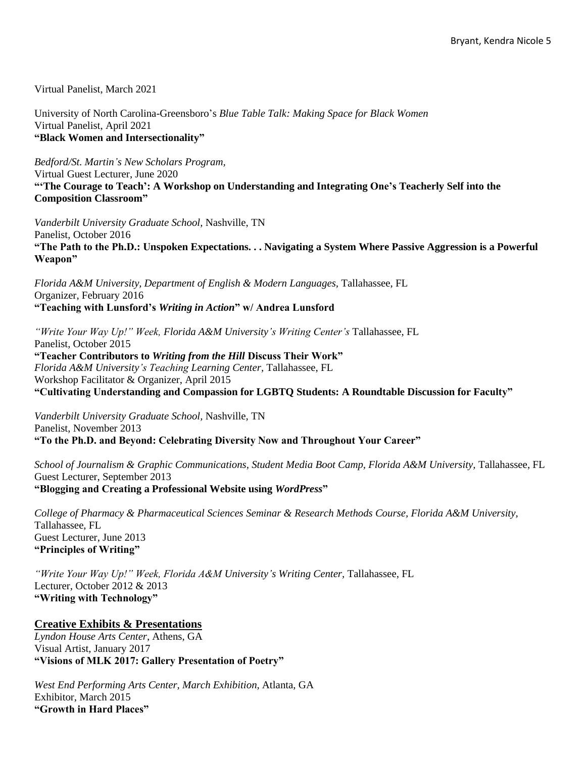Virtual Panelist, March 2021

University of North Carolina-Greensboro's *Blue Table Talk: Making Space for Black Women* Virtual Panelist, April 2021 **"Black Women and Intersectionality"**

*Bedford/St. Martin's New Scholars Program,*  Virtual Guest Lecturer, June 2020 **"'The Courage to Teach': A Workshop on Understanding and Integrating One's Teacherly Self into the Composition Classroom"**

*Vanderbilt University Graduate School,* Nashville, TN Panelist, October 2016 **"The Path to the Ph.D.: Unspoken Expectations. . . Navigating a System Where Passive Aggression is a Powerful Weapon"**

*Florida A&M University, Department of English & Modern Languages,* Tallahassee, FL Organizer, February 2016 **"Teaching with Lunsford's** *Writing in Action***" w/ Andrea Lunsford**

*"Write Your Way Up!" Week, Florida A&M University's Writing Center's* Tallahassee, FL Panelist, October 2015 **"Teacher Contributors to** *Writing from the Hill* **Discuss Their Work"**  *Florida A&M University's Teaching Learning Center,* Tallahassee, FL Workshop Facilitator & Organizer, April 2015 **"Cultivating Understanding and Compassion for LGBTQ Students: A Roundtable Discussion for Faculty"**

*Vanderbilt University Graduate School,* Nashville, TN Panelist, November 2013 **"To the Ph.D. and Beyond: Celebrating Diversity Now and Throughout Your Career"**

School of Journalism & Graphic Communications, Student Media Boot Camp, Florida A&M University, Tallahassee, FL Guest Lecturer, September 2013 **"Blogging and Creating a Professional Website using** *WordPress***"**

*College of Pharmacy & Pharmaceutical Sciences Seminar & Research Methods Course, Florida A&M University,*  Tallahassee, FL Guest Lecturer, June 2013 **"Principles of Writing"**

*"Write Your Way Up!" Week, Florida A&M University's Writing Center, Tallahassee, FL* Lecturer, October 2012 & 2013 **"Writing with Technology"** 

#### **Creative Exhibits & Presentations**

*Lyndon House Arts Center,* Athens, GA Visual Artist, January 2017 **"Visions of MLK 2017: Gallery Presentation of Poetry"**

*West End Performing Arts Center, March Exhibition,* Atlanta, GA Exhibitor, March 2015 **"Growth in Hard Places"**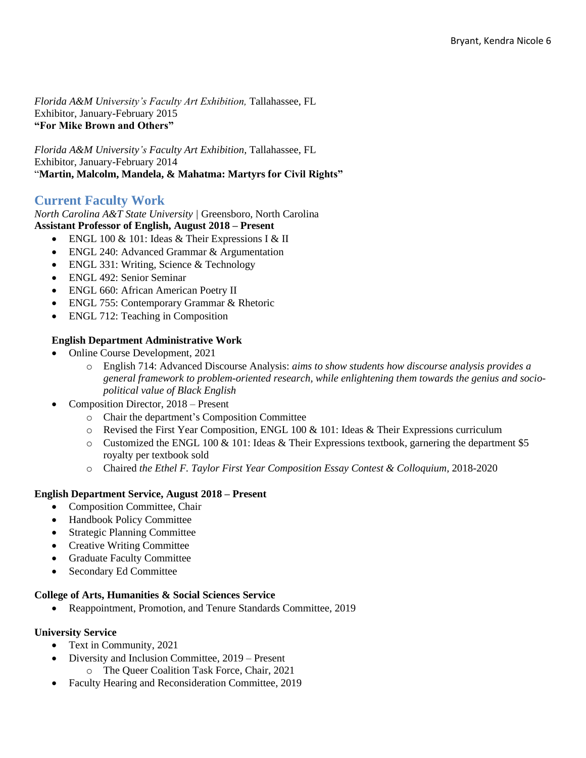*Florida A&M University's Faculty Art Exhibition,* Tallahassee, FL Exhibitor, January-February 2015 **"For Mike Brown and Others"**

*Florida A&M University's Faculty Art Exhibition,* Tallahassee, FL Exhibitor, January-February 2014 "**Martin, Malcolm, Mandela, & Mahatma: Martyrs for Civil Rights"**

# **Current Faculty Work**

#### *North Carolina A&T State University |* Greensboro, North Carolina **Assistant Professor of English, August 2018 – Present**

- ENGL 100 & 101: Ideas & Their Expressions I & II
- ENGL 240: Advanced Grammar & Argumentation
- ENGL 331: Writing, Science & Technology
- ENGL 492: Senior Seminar
- ENGL 660: African American Poetry II
- ENGL 755: Contemporary Grammar & Rhetoric
- ENGL 712: Teaching in Composition

## **English Department Administrative Work**

- Online Course Development, 2021
	- o English 714: Advanced Discourse Analysis: *aims to show students how discourse analysis provides a general framework to problem-oriented research, while enlightening them towards the genius and sociopolitical value of Black English*
- Composition Director, 2018 Present
	- o Chair the department's Composition Committee
	- $\circ$  Revised the First Year Composition, ENGL 100 & 101: Ideas & Their Expressions curriculum
	- $\circ$  Customized the ENGL 100 & 101: Ideas & Their Expressions textbook, garnering the department \$5 royalty per textbook sold
	- o Chaired *the Ethel F. Taylor First Year Composition Essay Contest & Colloquium,* 2018-2020

#### **English Department Service, August 2018 – Present**

- Composition Committee, Chair
- Handbook Policy Committee
- Strategic Planning Committee
- Creative Writing Committee
- Graduate Faculty Committee
- Secondary Ed Committee

#### **College of Arts, Humanities & Social Sciences Service**

• Reappointment, Promotion, and Tenure Standards Committee, 2019

#### **University Service**

- Text in Community, 2021
	- Diversity and Inclusion Committee, 2019 Present
		- o The Queer Coalition Task Force, Chair, 2021
- Faculty Hearing and Reconsideration Committee, 2019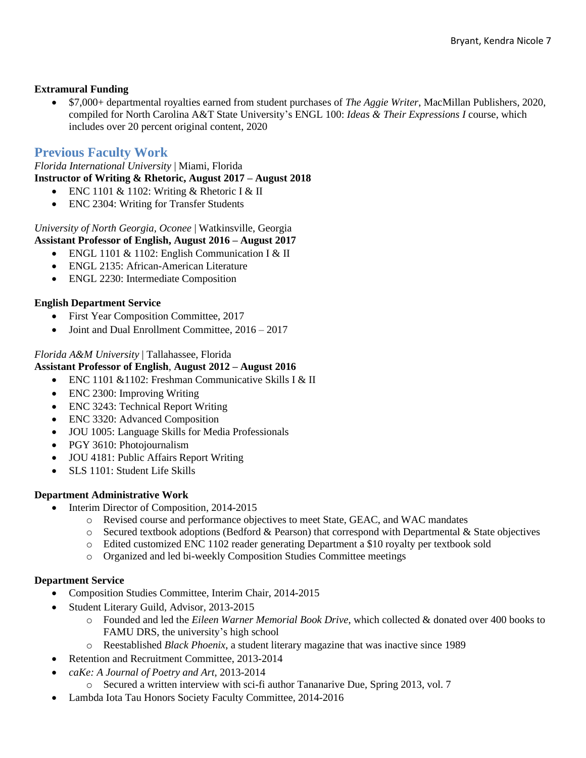#### **Extramural Funding**

• \$7,000+ departmental royalties earned from student purchases of *The Aggie Writer*, MacMillan Publishers, 2020, compiled for North Carolina A&T State University's ENGL 100: *Ideas & Their Expressions I* course, which includes over 20 percent original content, 2020

# **Previous Faculty Work**

*Florida International University* | Miami, Florida **Instructor of Writing & Rhetoric, August 2017 – August 2018**

- ENC 1101 & 1102: Writing & Rhetoric I & II
- ENC 2304: Writing for Transfer Students

*University of North Georgia, Oconee* | Watkinsville, Georgia **Assistant Professor of English, August 2016 – August 2017**

- ENGL 1101 & 1102: English Communication I & II
- ENGL 2135: African-American Literature
- ENGL 2230: Intermediate Composition

## **English Department Service**

- First Year Composition Committee, 2017
- Joint and Dual Enrollment Committee,  $2016 2017$

#### *Florida A&M University* | Tallahassee, Florida

#### **Assistant Professor of English**, **August 2012 – August 2016**

- ENC 1101 &1102: Freshman Communicative Skills I & II
- ENC 2300: Improving Writing
- ENC 3243: Technical Report Writing
- ENC 3320: Advanced Composition
- JOU 1005: Language Skills for Media Professionals
- PGY 3610: Photojournalism
- JOU 4181: Public Affairs Report Writing
- SLS 1101: Student Life Skills

#### **Department Administrative Work**

- Interim Director of Composition, 2014-2015
	- o Revised course and performance objectives to meet State, GEAC, and WAC mandates
	- o Secured textbook adoptions (Bedford & Pearson) that correspond with Departmental & State objectives
	- o Edited customized ENC 1102 reader generating Department a \$10 royalty per textbook sold
	- o Organized and led bi-weekly Composition Studies Committee meetings

#### **Department Service**

- Composition Studies Committee, Interim Chair, 2014-2015
- Student Literary Guild, Advisor, 2013-2015
	- o Founded and led the *Eileen Warner Memorial Book Drive*, which collected & donated over 400 books to FAMU DRS, the university's high school
	- o Reestablished *Black Phoenix*, a student literary magazine that was inactive since 1989
- Retention and Recruitment Committee, 2013-2014
- *caKe: A Journal of Poetry and Art*, 2013-2014
	- o Secured a written interview with sci-fi author Tananarive Due, Spring 2013, vol. 7
- Lambda Iota Tau Honors Society Faculty Committee, 2014-2016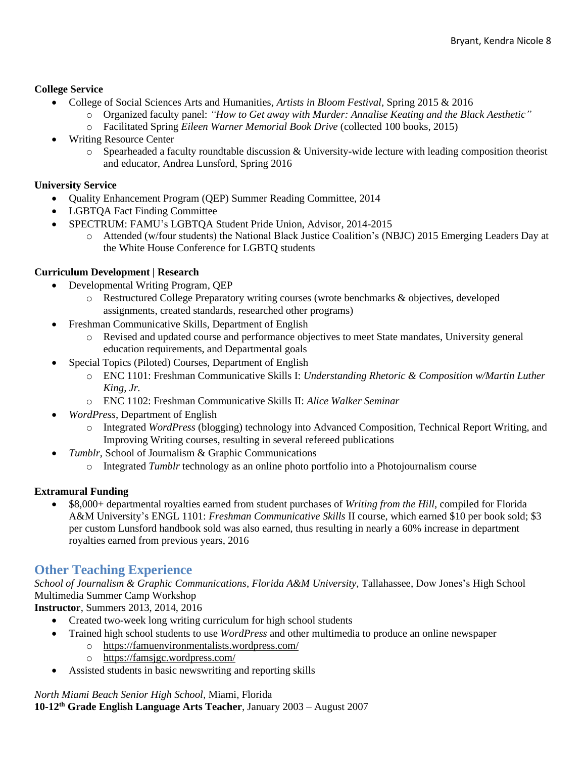#### **College Service**

- College of Social Sciences Arts and Humanities, *Artists in Bloom Festival*, Spring 2015 & 2016
	- o Organized faculty panel: *"How to Get away with Murder: Annalise Keating and the Black Aesthetic"*
	- o Facilitated Spring *Eileen Warner Memorial Book Drive* (collected 100 books, 2015)
- Writing Resource Center
	- $\circ$  Spearheaded a faculty roundtable discussion & University-wide lecture with leading composition theorist and educator, Andrea Lunsford, Spring 2016

#### **University Service**

- Quality Enhancement Program (QEP) Summer Reading Committee, 2014
- LGBTQA Fact Finding Committee
- SPECTRUM: FAMU's LGBTQA Student Pride Union, Advisor, 2014-2015
	- o Attended (w/four students) the National Black Justice Coalition's (NBJC) 2015 Emerging Leaders Day at the White House Conference for LGBTQ students

## **Curriculum Development | Research**

- Developmental Writing Program, QEP
	- o Restructured College Preparatory writing courses (wrote benchmarks & objectives, developed assignments, created standards, researched other programs)
- Freshman Communicative Skills, Department of English
	- o Revised and updated course and performance objectives to meet State mandates, University general education requirements, and Departmental goals
- Special Topics (Piloted) Courses, Department of English
	- o ENC 1101: Freshman Communicative Skills I: *Understanding Rhetoric & Composition w/Martin Luther King, Jr.*
	- o ENC 1102: Freshman Communicative Skills II: *Alice Walker Seminar*
- *WordPress*, Department of English
	- o Integrated *WordPress* (blogging) technology into Advanced Composition, Technical Report Writing, and Improving Writing courses, resulting in several refereed publications
	- *Tumblr*, School of Journalism & Graphic Communications
		- o Integrated *Tumblr* technology as an online photo portfolio into a Photojournalism course

#### **Extramural Funding**

• \$8,000+ departmental royalties earned from student purchases of *Writing from the Hill*, compiled for Florida A&M University's ENGL 1101: *Freshman Communicative Skills* II course, which earned \$10 per book sold; \$3 per custom Lunsford handbook sold was also earned, thus resulting in nearly a 60% increase in department royalties earned from previous years, 2016

# **Other Teaching Experience**

*School of Journalism & Graphic Communications, Florida A&M University,* Tallahassee, Dow Jones's High School Multimedia Summer Camp Workshop

**Instructor**, Summers 2013, 2014, 2016

- Created two-week long writing curriculum for high school students
- Trained high school students to use *WordPress* and other multimedia to produce an online newspaper
	- o <https://famuenvironmentalists.wordpress.com/>
	- o <https://famsjgc.wordpress.com/>
- Assisted students in basic newswriting and reporting skills

*North Miami Beach Senior High School,* Miami, Florida

**10-12th Grade English Language Arts Teacher**, January 2003 – August 2007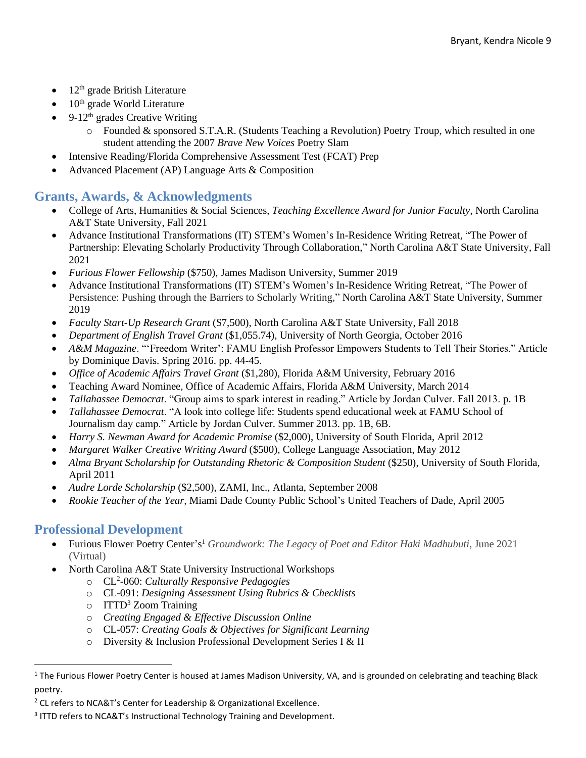- $\bullet$  12<sup>th</sup> grade British Literature
- $\bullet$  10<sup>th</sup> grade World Literature
- $9-12<sup>th</sup>$  grades Creative Writing
	- o Founded & sponsored S.T.A.R. (Students Teaching a Revolution) Poetry Troup, which resulted in one student attending the 2007 *Brave New Voices* Poetry Slam
- Intensive Reading/Florida Comprehensive Assessment Test (FCAT) Prep
- Advanced Placement (AP) Language Arts & Composition

# **Grants, Awards, & Acknowledgments**

- College of Arts, Humanities & Social Sciences, *Teaching Excellence Award for Junior Faculty*, North Carolina A&T State University, Fall 2021
- Advance Institutional Transformations (IT) STEM's Women's In-Residence Writing Retreat, "The Power of Partnership: Elevating Scholarly Productivity Through Collaboration," North Carolina A&T State University, Fall 2021
- *Furious Flower Fellowship* (\$750), James Madison University, Summer 2019
- Advance Institutional Transformations (IT) STEM's Women's In-Residence Writing Retreat, "The Power of Persistence: Pushing through the Barriers to Scholarly Writing," North Carolina A&T State University, Summer 2019
- *Faculty Start-Up Research Grant* (\$7,500), North Carolina A&T State University, Fall 2018
- *Department of English Travel Grant* (\$1,055.74), University of North Georgia, October 2016
- *A&M Magazine*. "'Freedom Writer': FAMU English Professor Empowers Students to Tell Their Stories." Article by Dominique Davis. Spring 2016. pp. 44-45.
- *Office of Academic Affairs Travel Grant* (\$1,280), Florida A&M University, February 2016
- Teaching Award Nominee, Office of Academic Affairs, Florida A&M University, March 2014
- *Tallahassee Democrat*. "Group aims to spark interest in reading." Article by Jordan Culver. Fall 2013. p. 1B
- *Tallahassee Democrat*. "A look into college life: Students spend educational week at FAMU School of Journalism day camp." Article by Jordan Culver. Summer 2013. pp. 1B, 6B.
- *Harry S. Newman Award for Academic Promise* (\$2,000), University of South Florida, April 2012
- *Margaret Walker Creative Writing Award* (\$500), College Language Association, May 2012
- *Alma Bryant Scholarship for Outstanding Rhetoric & Composition Student* (\$250), University of South Florida, April 2011
- *Audre Lorde Scholarship* (\$2,500), ZAMI, Inc., Atlanta, September 2008
- *Rookie Teacher of the Year,* Miami Dade County Public School's United Teachers of Dade, April 2005

# **Professional Development**

- Furious Flower Poetry Center's <sup>1</sup> *Groundwork: The Legacy of Poet and Editor Haki Madhubuti*, June 2021 (Virtual)
- North Carolina A&T State University Instructional Workshops
	- o CL<sup>2</sup> -060: *Culturally Responsive Pedagogies*
	- o CL-091: *Designing Assessment Using Rubrics & Checklists*
	- $\circ$  ITTD<sup>3</sup> Zoom Training
	- o *Creating Engaged & Effective Discussion Online*
	- o CL-057: *Creating Goals & Objectives for Significant Learning*
	- o Diversity & Inclusion Professional Development Series I & II

 $1$  The Furious Flower Poetry Center is housed at James Madison University, VA, and is grounded on celebrating and teaching Black poetry.

<sup>&</sup>lt;sup>2</sup> CL refers to NCA&T's Center for Leadership & Organizational Excellence.

<sup>3</sup> ITTD refers to NCA&T's Instructional Technology Training and Development.